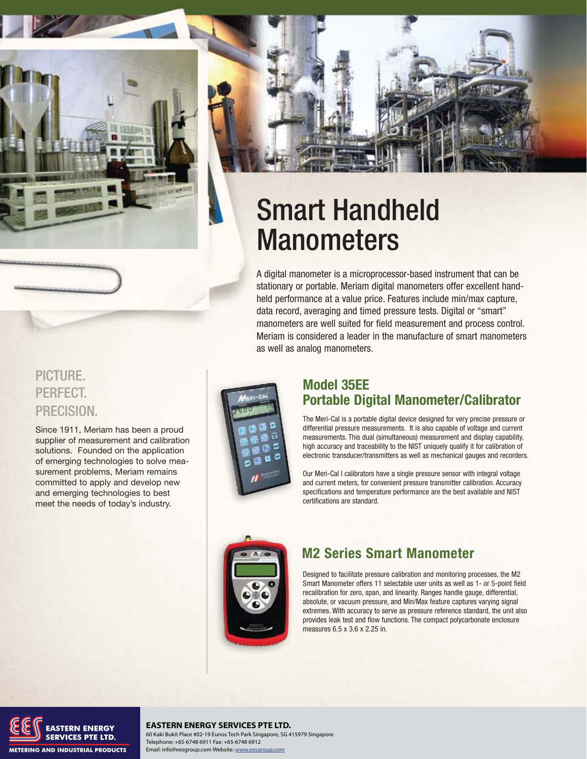



# Smart Handheld **Manometers**

A digital manometer is a microprocessor-based instrument that can be stationary or portable. Meriam digital manometers offer excellent handheld performance at a value price. Features include min/max capture, data record, averaging and timed pressure tests. Digital or "smart" manometers are well suited for field measurement and process control. Meriam is considered a leader in the manufacture of smart manometers as well as analog manometers.

### PICTURE. PERFECT. PRECISION.

Since 1911, Meriam has been a proud supplier of measurement and calibration solutions. Founded on the application of emerging technologies to solve measurement problems, Meriam remains committed to apply and develop new and emerging technologies to best meet the needs of today's industry.



### **Model 35EE Portable Digital Manometer/Calibrator**

The Meri-Cal is a portable digital device designed for very precise pressure or differential pressure measurements. It is also capable of voltage and current measurements. This dual (simultaneous) measurement and display capability, high accuracy and traceability to the NIST uniquely qualify it for calibration of electronic transducer/transmitters as well as mechanical gauges and recorders.

Our Meri-Cal I calibrators have a single pressure sensor with integral voltage and current meters, for convenient pressure transmitter calibration. Accuracy specifications and temperature performance are the best available and NIST certifications are standard.



### **M2 Series Smart Manometer**

Designed to facilitate pressure calibration and monitoring processes, the M2 Smart Manometer offers 11 selectable user units as well as 1- or 5-point field recalibration for zero, span, and linearity. Ranges handle gauge, differential, absolute, or vacuum pressure, and Min/Max feature captures varying signal extremes. With accuracy to serve as pressure reference standard, the unit also provides leak test and flow functions. The compact polycarbonate enclosure measures 6.5 x 3.6 x 2.25 in.



**MERIAM PROCESS PTE LTD.**<br>Michael Press PTE LTD. Telephone: +65-6748 6911 Fax: +65-6748 6912 **EASTERN ENERGY SERVICES PTE LTD.**

Telephone: +65-6748 6911 Fax: +65-6748 6912 Email: info@eesgroup.com Website: www.eesgroup.com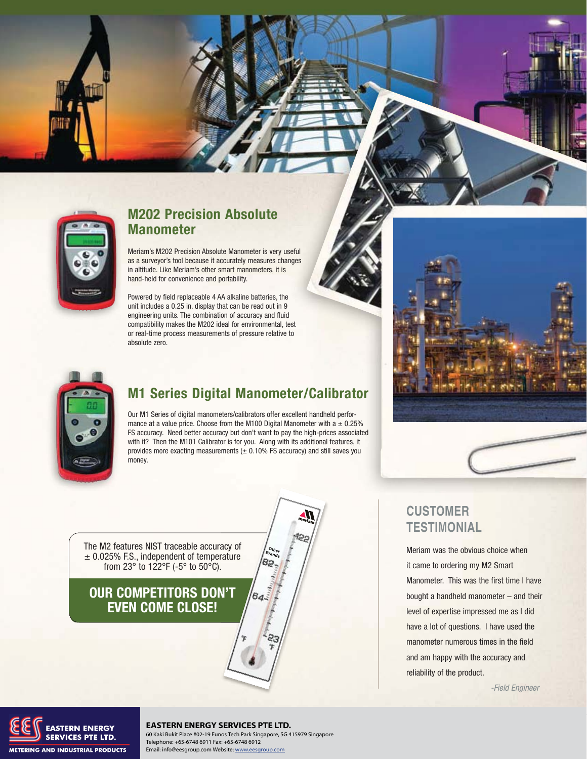

### **M202 Precision Absolute Manometer**

Meriam's M202 Precision Absolute Manometer is very useful as a surveyor's tool because it accurately measures changes in altitude. Like Meriam's other smart manometers, it is hand-held for convenience and portability.

Powered by field replaceable 4 AA alkaline batteries, the unit includes a 0.25 in. display that can be read out in 9 engineering units. The combination of accuracy and fluid compatibility makes the M202 ideal for environmental, test or real-time process measurements of pressure relative to absolute zero.



### **M1 Series Digital Manometer/Calibrator**

Our M1 Series of digital manometers/calibrators offer excellent handheld performance at a value price. Choose from the M100 Digital Manometer with a  $\pm$  0.25% FS accuracy. Need better accuracy but don't want to pay the high-prices associated with it? Then the M101 Calibrator is for you. Along with its additional features, it provides more exacting measurements  $(± 0.10\%$  FS accuracy) and still saves you money.

 $o_{th_{e}}$ 

64

The M2 features NIST traceable accuracy of  $\pm$  0.025% F.S., independent of temperature from 23° to 122°F (-5° to 50°C). acy of<br>rature<br>.

### **OUR COMPETITORS DON'T N'T EVEN COME CLOSE!**



#### **EASTERN ENERGY SERVICES PTE LTD.**

60 Kaki Bukit Place #02-19 Eunos Tech Park Singapore, SG 415979 Singapore Telephone: +65-6748 6911 Fax: +65-6748 6912 Email: info@eesgroup.com Website: www.eesgroup.com



Meriam was the obvious choice when it came to ordering my M2 Smart Manometer. This was the first time I have bought a handheld manometer – and their level of expertise impressed me as I did have a lot of questions. I have used the manometer numerous times in the field and am happy with the accuracy and reliability of the product.

-Field Engineer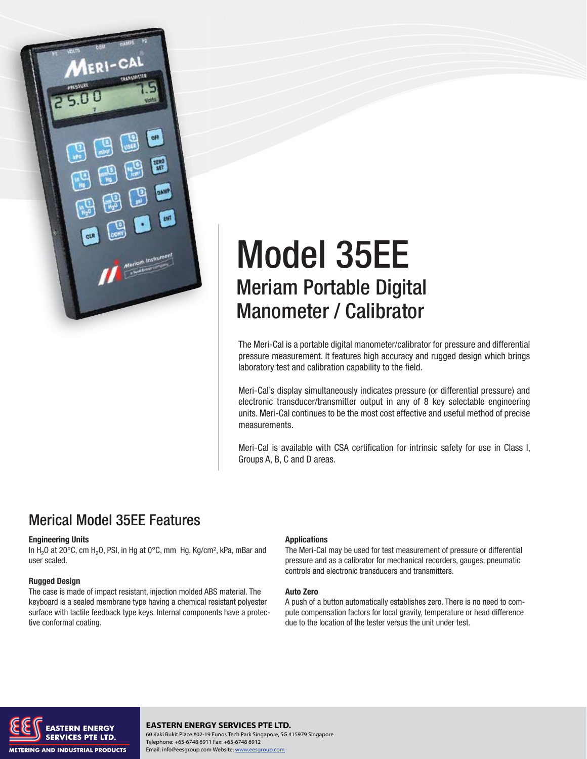

# Model 35EE Meriam Portable Digital Manometer / Calibrator

The Meri-Cal is a portable digital manometer/calibrator for pressure and differential pressure measurement. It features high accuracy and rugged design which brings laboratory test and calibration capability to the field.

Meri-Cal's display simultaneously indicates pressure (or differential pressure) and electronic transducer/transmitter output in any of 8 key selectable engineering units. Meri-Cal continues to be the most cost effective and useful method of precise measurements.

Meri-Cal is available with CSA certification for intrinsic safety for use in Class I, Groups A, B, C and D areas.

### Merical Model 35EE Features

#### **Engineering Units**

In  $H_2O$  at 20°C, cm  $H_2O$ , PSI, in Hg at 0°C, mm Hg, Kg/cm<sup>2</sup>, kPa, mBar and user scaled.

#### **Rugged Design**

The case is made of impact resistant, injection molded ABS material. The keyboard is a sealed membrane type having a chemical resistant polyester surface with tactile feedback type keys. Internal components have a protective conformal coating.

#### **Applications**

The Meri-Cal may be used for test measurement of pressure or differential pressure and as a calibrator for mechanical recorders, gauges, pneumatic controls and electronic transducers and transmitters.

#### **Auto Zero**

A push of a button automatically establishes zero. There is no need to compute compensation factors for local gravity, temperature or head difference due to the location of the tester versus the unit under test.



**EASTERN ENERGY SERVICES PTE LTD.**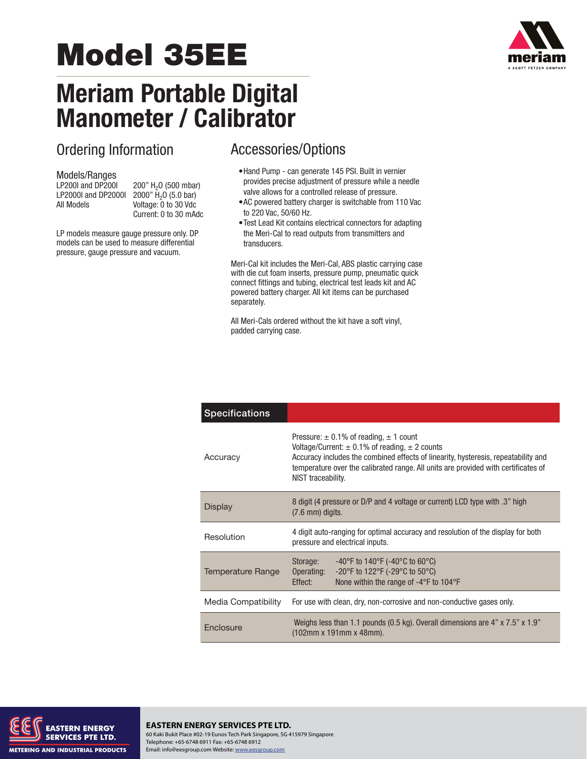# **Model 35EE**

# **Meriam Portable Digital Manometer / Calibrator**

# Ordering Information

# Models/Ranges<br>LP200I and DP200I

200" H<sub>2</sub>O (500 mbar) LP2000I and DP2000I  $2000''$   $\overline{H}_2O$  (5.0 bar)<br>All Models Voltage: 0 to 30 Vdc Voltage: 0 to 30 Vdc Current: 0 to 30 mAdc

LP models measure gauge pressure only. DP models can be used to measure differential pressure, gauge pressure and vacuum.

### Accessories/Options

- Hand Pump can generate 145 PSI. Built in vernier provides precise adjustment of pressure while a needle valve allows for a controlled release of pressure.
- AC powered battery charger is switchable from 110 Vac to 220 Vac, 50/60 Hz.
- Test Lead Kit contains electrical connectors for adapting the Meri-Cal to read outputs from transmitters and transducers.

Meri-Cal kit includes the Meri-Cal, ABS plastic carrying case with die cut foam inserts, pressure pump, pneumatic quick connect fittings and tubing, electrical test leads kit and AC powered battery charger. All kit items can be purchased separately.

All Meri-Cals ordered without the kit have a soft vinyl, padded carrying case.

| <b>Specifications</b> |                                                                                                                                                                                                                                                                                                            |  |
|-----------------------|------------------------------------------------------------------------------------------------------------------------------------------------------------------------------------------------------------------------------------------------------------------------------------------------------------|--|
| Accuracy              | Pressure: $\pm$ 0.1% of reading, $\pm$ 1 count<br>Voltage/Current: $\pm$ 0.1% of reading, $\pm$ 2 counts<br>Accuracy includes the combined effects of linearity, hysteresis, repeatability and<br>temperature over the calibrated range. All units are provided with certificates of<br>NIST traceability. |  |
| <b>Display</b>        | 8 digit (4 pressure or D/P and 4 voltage or current) LCD type with .3" high<br>$(7.6 \text{ mm})$ digits.                                                                                                                                                                                                  |  |
| Resolution            | 4 digit auto-ranging for optimal accuracy and resolution of the display for both<br>pressure and electrical inputs.                                                                                                                                                                                        |  |
| Temperature Range     | -40°F to 140°F (-40°C to 60°C)<br>Storage:<br>-20°F to 122°F (-29°C to 50°C)<br>Operating:<br>None within the range of -4°F to 104°F<br>Effect:                                                                                                                                                            |  |
| Media Compatibility   | For use with clean, dry, non-corrosive and non-conductive gases only.                                                                                                                                                                                                                                      |  |
| Enclosure             | Weighs less than 1.1 pounds (0.5 kg). Overall dimensions are 4" x 7.5" x 1.9"<br>(102mm x 191mm x 48mm).                                                                                                                                                                                                   |  |



#### **EASTERN ENERGY SERVICES PTE LTD.** 60 Kaki Bukit Place #02-19 Eunos Tech Park Singapore, SG 415979 Singapore Telephone: +65-6748 6911 Fax: +65-6748 6912 Email: info@eesgroup.com Website: www.eesgroup.com

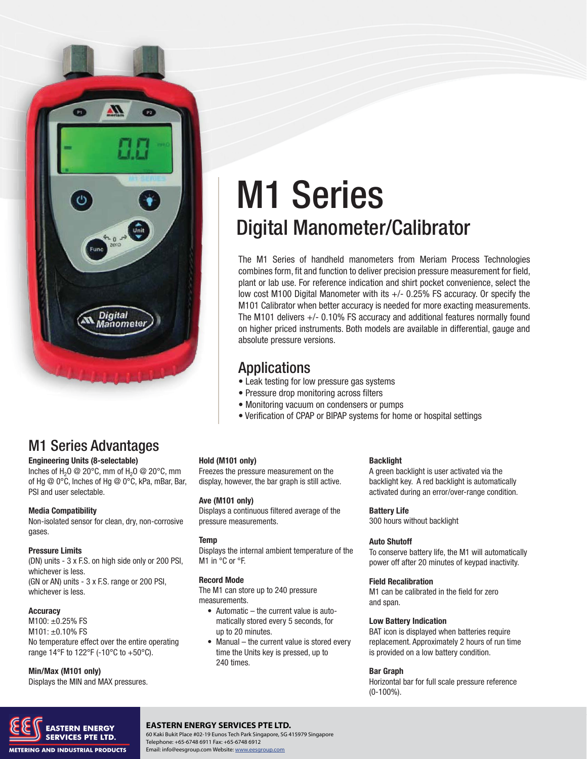

# M1 Series Advantages

**Engineering Units (8-selectable)**

Inches of H<sub>2</sub>O @ 20°C, mm of H<sub>2</sub>O @ 20°C, mm of Hg @ 0°C, Inches of Hg @ 0°C, kPa, mBar, Bar, PSI and user selectable.

#### **Media Compatibility**

Non-isolated sensor for clean, dry, non-corrosive gases.

#### **Pressure Limits**

(DN) units - 3 x F.S. on high side only or 200 PSI, whichever is less. (GN or AN) units - 3 x F.S. range or 200 PSI, whichever is less.

#### **Accuracy**

M100: ±0.25% FS M101: ±0.10% FS No temperature effect over the entire operating range 14°F to 122°F (-10°C to +50°C).

#### **Min/Max (M101 only)**

Displays the MIN and MAX pressures.

# M1 Series Digital Manometer/Calibrator

The M1 Series of handheld manometers from Meriam Process Technologies combines form, fit and function to deliver precision pressure measurement for field, plant or lab use. For reference indication and shirt pocket convenience, select the low cost M100 Digital Manometer with its +/- 0.25% FS accuracy. Or specify the M101 Calibrator when better accuracy is needed for more exacting measurements. The M101 delivers +/- 0.10% FS accuracy and additional features normally found on higher priced instruments. Both models are available in differential, gauge and absolute pressure versions.

### Applications

- Leak testing for low pressure gas systems
- Pressure drop monitoring across filters
- Monitoring vacuum on condensers or pumps
- Verification of CPAP or BIPAP systems for home or hospital settings

#### **Hold (M101 only)**

Freezes the pressure measurement on the display, however, the bar graph is still active.

#### **Ave (M101 only)**

Displays a continuous filtered average of the pressure measurements.

#### **Temp**

Displays the internal ambient temperature of the M1 in °C or °F.

#### **Record Mode**

The M1 can store up to 240 pressure measurements.

- $\bullet$  Automatic the current value is auto matically stored every 5 seconds, for up to 20 minutes.
- $\bullet$  Manual the current value is stored every time the Units key is pressed, up to 240 times.

#### **Backlight**

A green backlight is user activated via the backlight key. A red backlight is automatically activated during an error/over-range condition.

#### **Battery Life**

300 hours without backlight

#### **Auto Shutoff**

To conserve battery life, the M1 will automatically power off after 20 minutes of keypad inactivity.

#### **Field Recalibration**

M1 can be calibrated in the field for zero and span.

#### **Low Battery Indication**

BAT icon is displayed when batteries require replacement. Approximately 2 hours of run time is provided on a low battery condition.

#### **Bar Graph**

Horizontal bar for full scale pressure reference (0-100%).



#### **EASTERN ENERGY SERVICES PTE LTD.**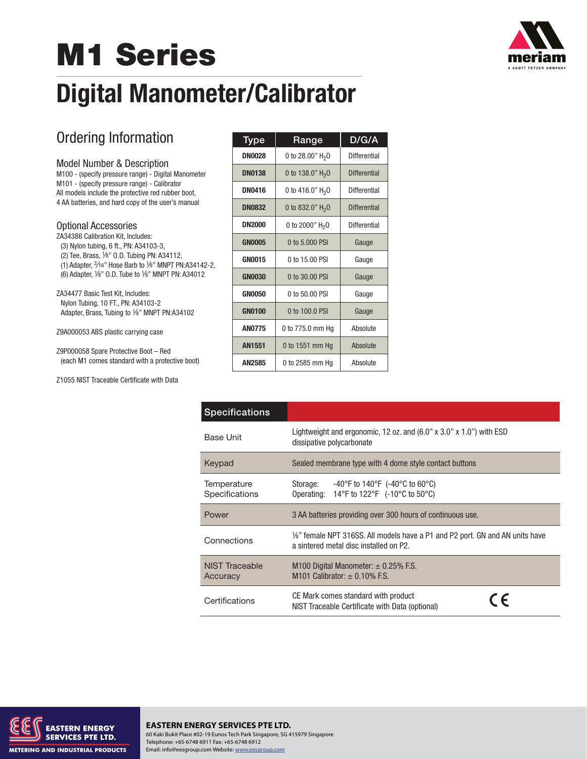# **M1 Series**



# **Digital Manometer/Calibrator**

# Ordering Information

#### Model Number & Description

M100 - (specify pressure range) - Digital Manometer M101 - (specify pressure range) - Calibrator All models include the protective red rubber boot, 4 AA batteries, and hard copy of the user's manual

#### Optional Accessories

ZA34386 Calibration Kit, Includes: (3) Nylon tubing, 6 ft., PN: A34103-3, (2) Tee, Brass, 1/8" O.D. Tubing PN: A34112, (1) Adapter,  $3/16$ " Hose Barb to  $1/8$ " MNPT PN:A34142-2, (6) Adapter, 1/8" O.D. Tube to 1/8" MNPT PN: A34012

ZA34477 Basic Test Kit, Includes: Nylon Tubing, 10 FT., PN: A34103-2 Adapter, Brass, Tubing to 1/8" MNPT PN:A34102

Z9A000053 ABS plastic carrying case

Z9P000058 Spare Protective Boot – Red (each M1 comes standard with a protective boot)

Z1055 NIST Traceable Certificate with Data

| <u>Type</u>   | Range                       | D/G/A               |
|---------------|-----------------------------|---------------------|
| <b>DN0028</b> | 0 to 28.00" $H_2O$          | Differential        |
| <b>DN0138</b> | 0 to 138.0" $H_2O$          | <b>Differential</b> |
| <b>DN0416</b> | 0 to 416.0" $H_2$ 0         | Differential        |
| <b>DN0832</b> | 0 to 832.0" $H_2O$          | <b>Differential</b> |
| <b>DN2000</b> | 0 to 2000" H <sub>2</sub> O | Differential        |
| <b>GN0005</b> | 0 to 5,000 PSI              | Gauge               |
| <b>GN0015</b> | 0 to 15.00 PSI              | Gauge               |
| <b>GN0030</b> | 0 to 30,00 PSI              | Gauge               |
| <b>GN0050</b> | 0 to 50.00 PSI              | Gauge               |
| <b>GN0100</b> | 0 to 100.0 PSI              | Gauge               |
| <b>AN0775</b> | 0 to 775.0 mm Hg            | Absolute            |
| <b>AN1551</b> | 0 to 1551 mm Hq             | Absolute            |
| AN2585        | 0 to 2585 mm Hg             | Absolute            |

| <b>Specifications</b>         |                                                                                                                                         |  |
|-------------------------------|-----------------------------------------------------------------------------------------------------------------------------------------|--|
| <b>Base Unit</b>              | Lightweight and ergonomic, 12 oz. and $(6.0" \times 3.0" \times 1.0")$ with ESD<br>dissipative polycarbonate                            |  |
| Keypad                        | Sealed membrane type with 4 dome style contact buttons                                                                                  |  |
| Temperature<br>Specifications | Storage: $-40^{\circ}$ F to 140°F (-40°C to 60°C)<br>Operating: $14^{\circ}$ F to $122^{\circ}$ F (-10 $^{\circ}$ C to 50 $^{\circ}$ C) |  |
| Power                         | 3 AA batteries providing over 300 hours of continuous use.                                                                              |  |
| Connections                   | 1/ <sub>8</sub> " female NPT 316SS. All models have a P1 and P2 port. GN and AN units have<br>a sintered metal disc installed on P2.    |  |
| NIST Traceable<br>Accuracy    | M100 Digital Manometer: $\pm$ 0.25% F.S.<br>M101 Calibrator: $\pm$ 0.10% F.S.                                                           |  |
| Certifications                | CE Mark comes standard with product<br>ΓF<br>NIST Traceable Certificate with Data (optional)                                            |  |



**EASTERN ENERGY SERVICES PTE LTD.** 60 Kaki Bukit Place #02-19 Eunos Tech Park Singapore, SG 415979 Singapore Telephone: +65-6748 6911 Fax: +65-6748 6912 Email: info@eesgroup.com Website: www.eesgroup.com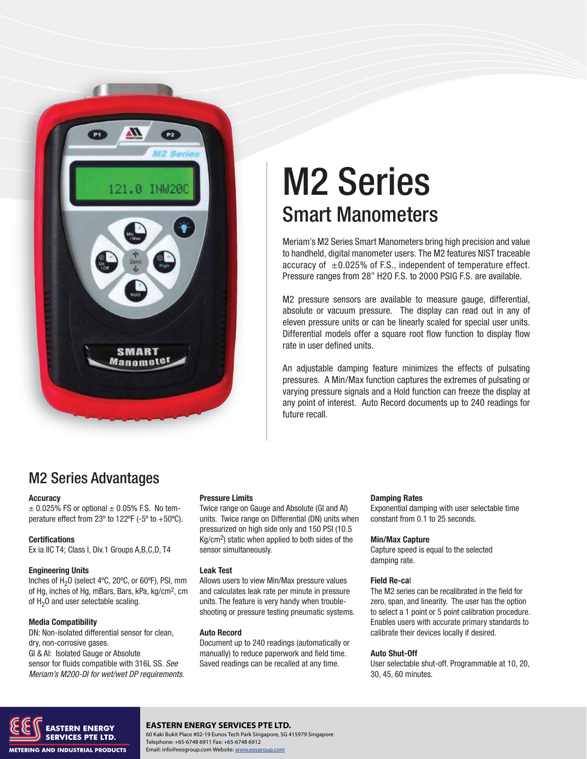

# M2 Series Smart Manometers

Meriam's M2 Series Smart Manometers bring high precision and value to handheld, digital manometer users. The M2 features NIST traceable accuracy of  $\pm 0.025\%$  of F.S., independent of temperature effect. Pressure ranges from 28" H2O F.S. to 2000 PSIG F.S. are available.

M2 pressure sensors are available to measure gauge, differential, absolute or vacuum pressure. The display can read out in any of eleven pressure units or can be linearly scaled for special user units. Differential models offer a square root flow function to display flow rate in user defined units.

An adjustable damping feature minimizes the effects of pulsating pressures. A Min/Max function captures the extremes of pulsating or varying pressure signals and a Hold function can freeze the display at any point of interest. Auto Record documents up to 240 readings for future recall.

### M2 Series Advantages

#### **Accuracy**

 $\pm$  0.025% FS or optional  $\pm$  0.05% F.S. No temperature effect from 23 $\degree$  to 122 $\degree$ F (-5 $\degree$  to +50 $\degree$ C).

#### **Certifications**

Ex ia IIC T4; Class I, Div.1 Groups A,B,C,D, T4

#### **Engineering Units**

Inches of  $H<sub>2</sub>O$  (select 4°C, 20°C, or 60°F), PSI, mm of Hg, inches of Hg, mBars, Bars, kPa, kg/cm2, cm of  $H<sub>2</sub>O$  and user selectable scaling.

#### **Media Compatibility**

DN: Non-isolated differential sensor for clean, dry, non-corrosive gases. GI & AI: Isolated Gauge or Absolute sensor for fluids compatible with 316L SS. See Meriam's M200-DI for wet/wet DP requirements.

#### **Pressure Limits**

Twice range on Gauge and Absolute (GI and AI) units. Twice range on Differential (DN) units when pressurized on high side only and 150 PSI (10.5 Kg/cm2) static when applied to both sides of the sensor simultaneously.

#### **Leak Test**

Allows users to view Min/Max pressure values and calculates leak rate per minute in pressure units. The feature is very handy when troubleshooting or pressure testing pneumatic systems.

#### **Auto Record**

Document up to 240 readings (automatically or manually) to reduce paperwork and field time. Saved readings can be recalled at any time.

#### **Damping Rates**

Exponential damping with user selectable time constant from 0.1 to 25 seconds.

#### **Min/Max Capture**

Capture speed is equal to the selected damping rate.

#### **Field Re-ca**l

The M2 series can be recalibrated in the field for zero, span, and linearity. The user has the option to select a 1 point or 5 point calibration procedure. Enables users with accurate primary standards to calibrate their devices locally if desired.

#### **Auto Shut-Off**

User selectable shut-off. Programmable at 10, 20, 30, 45, 60 minutes.



#### **EASTERN ENERGY SERVICES PTE LTD.**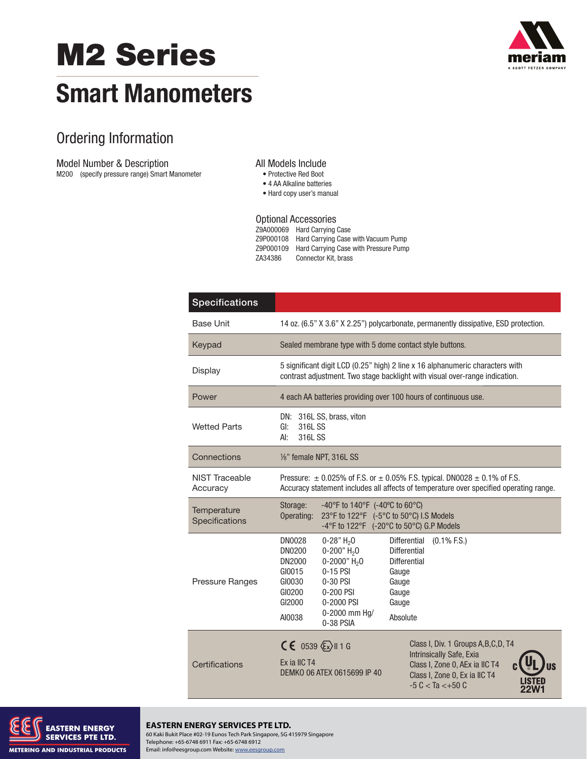# **M2 Series**



# **Smart Manometers**

## Ordering Information

Model Number & Description

M200 (specify pressure range) Smart Manometer

#### All Models Include

- · Protective Red Boot
- · 4 AA Alkaline batteries
- Hard copy user's manual

#### Optional Accessories Z9A000069 Hard Carrying Case Z9P000108 Hard Carrying Case with Vacuum Pump Z9P000109 Hard Carrying Case with Pressure Pump ZA34386 Connector Kit, brass

| <b>Specifications</b>         |                                                                                                                                                                                                                                                                                                                                                                                                  |  |  |
|-------------------------------|--------------------------------------------------------------------------------------------------------------------------------------------------------------------------------------------------------------------------------------------------------------------------------------------------------------------------------------------------------------------------------------------------|--|--|
| <b>Base Unit</b>              | 14 oz. (6.5" X 3.6" X 2.25") polycarbonate, permanently dissipative, ESD protection.                                                                                                                                                                                                                                                                                                             |  |  |
| Keypad                        | Sealed membrane type with 5 dome contact style buttons.                                                                                                                                                                                                                                                                                                                                          |  |  |
| Display                       | 5 significant digit LCD (0.25" high) 2 line x 16 alphanumeric characters with<br>contrast adjustment. Two stage backlight with visual over-range indication.                                                                                                                                                                                                                                     |  |  |
| Power                         | 4 each AA batteries providing over 100 hours of continuous use.                                                                                                                                                                                                                                                                                                                                  |  |  |
| <b>Wetted Parts</b>           | DN: 316L SS, brass, viton<br>316L SS<br>GI:<br>AI:<br>316L SS                                                                                                                                                                                                                                                                                                                                    |  |  |
| Connections                   | 1/8" female NPT, 316L SS                                                                                                                                                                                                                                                                                                                                                                         |  |  |
| NIST Traceable<br>Accuracy    | Pressure: $\pm$ 0.025% of F.S. or $\pm$ 0.05% F.S. typical. DN0028 $\pm$ 0.1% of F.S.<br>Accuracy statement includes all affects of temperature over specified operating range.                                                                                                                                                                                                                  |  |  |
| Temperature<br>Specifications | Storage:<br>-40°F to 140°F (-40°C to 60°C)<br>Operating:<br>23°F to 122°F (-5°C to 50°C) I.S Models<br>-4°F to 122°F (-20°C to 50°C) G.P Models                                                                                                                                                                                                                                                  |  |  |
| Pressure Ranges               | <b>DN0028</b><br>$(0.1\%$ F.S.)<br>$0-28"$ H <sub>2</sub> O<br><b>Differential</b><br>$0-200"$ H <sub>2</sub> O<br><b>Differential</b><br><b>DN0200</b><br>0-2000" $H_2$ 0<br><b>Differential</b><br>DN2000<br>$0-15$ PSI<br>GI0015<br>Gauge<br>GI0030<br>0-30 PSI<br>Gauge<br>GI0200<br>0-200 PSI<br>Gauge<br>GI2000<br>0-2000 PSI<br>Gauge<br>0-2000 mm Hg/<br>AI0038<br>Absolute<br>0-38 PSIA |  |  |
| Certifications                | $CE$ 0539 $\sqrt{\epsilon}$ x)    1 G<br>Class I, Div. 1 Groups A, B, C, D, T4<br>Intrinsically Safe, Exia<br>Ex ia IIC T4<br>Class I, Zone 0, AEx ia IIC T4<br>DEMKO O6 ATEX 0615699 IP 40<br>Class I, Zone 0, Ex ia IIC T4<br>$-5 C < Ta < +50 C$                                                                                                                                              |  |  |



#### **EASTERN ENERGY SERVICES PTE LTD.**

60 Kaki Bukit Place #02-19 Eunos Tech Park Singapore, SG 415979 Singapore Telephone: +65-6748 6911 Fax: +65-6748 6912 Email: info@eesgroup.com Website: www.eesgroup.com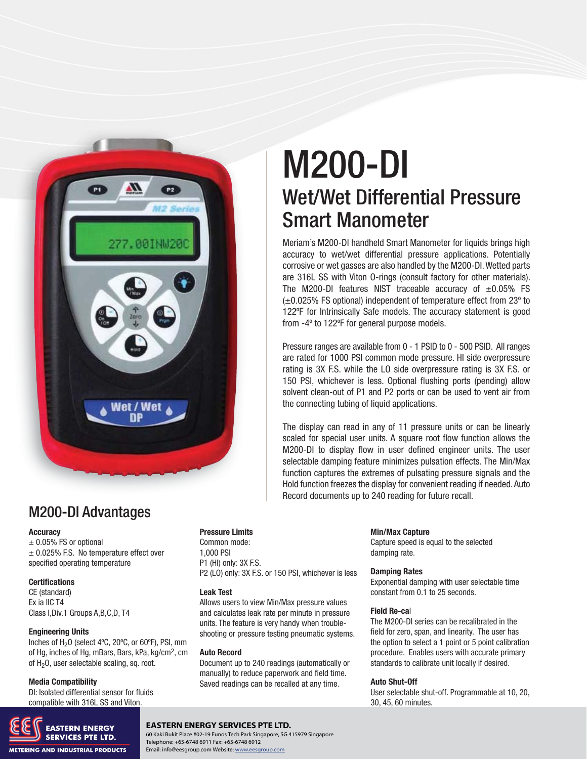

# M200-DI Wet/Wet Differential Pressure Smart Manometer

Meriam's M200-DI handheld Smart Manometer for liquids brings high accuracy to wet/wet differential pressure applications. Potentially corrosive or wet gasses are also handled by the M200-DI. Wetted parts are 316L SS with Viton O-rings (consult factory for other materials). The M200-DI features NIST traceable accuracy of  $\pm 0.05\%$  FS (±0.025% FS optional) independent of temperature effect from 23º to 122ºF for Intrinsically Safe models. The accuracy statement is good from -4º to 122ºF for general purpose models.

Pressure ranges are available from 0 - 1 PSID to 0 - 500 PSID. All ranges are rated for 1000 PSI common mode pressure. HI side overpressure rating is 3X F.S. while the LO side overpressure rating is 3X F.S. or 150 PSI, whichever is less. Optional flushing ports (pending) allow solvent clean-out of P1 and P2 ports or can be used to vent air from the connecting tubing of liquid applications.

The display can read in any of 11 pressure units or can be linearly scaled for special user units. A square root flow function allows the M200-DI to display flow in user defined engineer units. The user selectable damping feature minimizes pulsation effects. The Min/Max function captures the extremes of pulsating pressure signals and the Hold function freezes the display for convenient reading if needed. Auto Record documents up to 240 reading for future recall.

### M200-DI Advantages

#### **Accuracy**

 $±$  0.05% FS or optional ± 0.025% F.S. No temperature effect over specified operating temperature

#### **Certifications**

CE (standard) Ex ia IIC T4 Class I,Div.1 Groups A,B,C,D, T4

#### **Engineering Units**

Inches of H<sub>2</sub>O (select 4°C, 20°C, or 60°F), PSI, mm of Hg, inches of Hg, mBars, Bars, kPa, kg/cm2, cm of  $H<sub>2</sub>O$ , user selectable scaling, sq. root.

#### **Media Compatibility**

DI: Isolated differential sensor for fluids compatible with 316L SS and Viton.



#### **Pressure Limits**

Common mode: 1,000 PSI P1 (HI) only: 3X F.S. P2 (LO) only: 3X F.S. or 150 PSI, whichever is less

#### **Leak Test**

Allows users to view Min/Max pressure values and calculates leak rate per minute in pressure units. The feature is very handy when troubleshooting or pressure testing pneumatic systems.

#### **Auto Record**

Document up to 240 readings (automatically or manually) to reduce paperwork and field time. Saved readings can be recalled at any time.

#### **Min/Max Capture**

Capture speed is equal to the selected damping rate.

#### **Damping Rates**

Exponential damping with user selectable time constant from 0.1 to 25 seconds.

#### **Field Re-ca**l

The M200-DI series can be recalibrated in the field for zero, span, and linearity. The user has the option to select a 1 point or 5 point calibration procedure. Enables users with accurate primary standards to calibrate unit locally if desired.

#### **Auto Shut-Off**

User selectable shut-off. Programmable at 10, 20, 30, 45, 60 minutes.

#### **EASTERN ENERGY SERVICES PTE LTD.**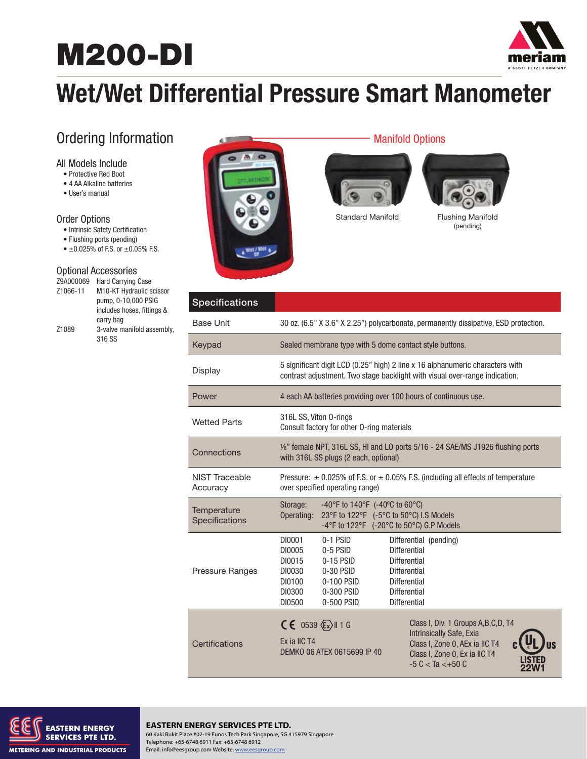# **M200-DI**



# **Wet/Wet Differential Pressure Smart Manometer**

## Ordering Information

#### All Models Include

- Protective Red Boot
- 4 AA Alkaline batteries
- User's manual

#### Order Options

- Intrinsic Safety Certification
- Flushing ports (pending)
- $\pm 0.025\%$  of F.S. or  $\pm 0.05\%$  F.S.

#### Optional Accessories

| Z9A000069         | <b>Hard Carrying Case</b>  |
|-------------------|----------------------------|
| Z1066-11          | M10-KT Hydraulic scissor   |
|                   | pump, 0-10,000 PSIG        |
|                   | includes hoses, fittings & |
|                   | carry bag                  |
| Z <sub>1089</sub> | 3-valve manifold assembly, |
|                   | 316 SS                     |



#### Manifold Options





Standard Manifold Flushing Manifold (pending)

| <b>Specifications</b>         |                                                                                                                                                                                                                                                                                                                                   |  |  |
|-------------------------------|-----------------------------------------------------------------------------------------------------------------------------------------------------------------------------------------------------------------------------------------------------------------------------------------------------------------------------------|--|--|
| <b>Base Unit</b>              | 30 oz. (6.5" X 3.6" X 2.25") polycarbonate, permanently dissipative, ESD protection.                                                                                                                                                                                                                                              |  |  |
| Keypad                        | Sealed membrane type with 5 dome contact style buttons.                                                                                                                                                                                                                                                                           |  |  |
| Display                       | 5 significant digit LCD (0.25" high) 2 line x 16 alphanumeric characters with<br>contrast adjustment. Two stage backlight with visual over-range indication.                                                                                                                                                                      |  |  |
| Power                         | 4 each AA batteries providing over 100 hours of continuous use.                                                                                                                                                                                                                                                                   |  |  |
| <b>Wetted Parts</b>           | 316L SS, Viton 0-rings<br>Consult factory for other O-ring materials                                                                                                                                                                                                                                                              |  |  |
| Connections                   | 1/2" female NPT, 316L SS, HI and LO ports 5/16 - 24 SAE/MS J1926 flushing ports<br>with 316L SS plugs (2 each, optional)                                                                                                                                                                                                          |  |  |
| NIST Traceable<br>Accuracy    | Pressure: $\pm$ 0.025% of F.S. or $\pm$ 0.05% F.S. (including all effects of temperature<br>over specified operating range)                                                                                                                                                                                                       |  |  |
| Temperature<br>Specifications | Storage:<br>$-40^{\circ}$ F to 140 $^{\circ}$ F (-40 $^{\circ}$ C to 60 $^{\circ}$ C)<br>23°F to 122°F (-5°C to 50°C) I.S Models<br>Operating:<br>-4°F to 122°F (-20°C to 50°C) G.P Models                                                                                                                                        |  |  |
| Pressure Ranges               | DI0001<br>0-1 PSID<br>Differential (pending)<br><b>Differential</b><br>DI0005<br>$0-5$ PSID<br>DI0015<br>$0-15$ PSID<br><b>Differential</b><br>DI0030<br>$0-30$ PSID<br><b>Differential</b><br>0-100 PSID<br>DI0100<br>Differential<br>DI0300<br>0-300 PSID<br><b>Differential</b><br>0-500 PSID<br><b>Differential</b><br>DI0500 |  |  |
| Certifications                | Class I, Div. 1 Groups A, B, C, D, T4<br>$CE$ 0539 $\sqrt{\frac{2}{x}}$ 11 G<br>Intrinsically Safe, Exia<br>Fx ia IIC T4<br>Class I, Zone 0, AEx ia IIC T4<br>DEMKO 06 ATEX 0615699 IP 40<br>Class I, Zone 0, Ex ia IIC T4<br>$-5 C < Ta < +50 C$                                                                                 |  |  |



#### **EASTERN ENERGY SERVICES PTE LTD.** 60 Kaki Bukit Place #02-19 Eunos Tech Park Singapore, SG 415979 Singapore

Telephone: +65-6748 6911 Fax: +65-6748 6912 Email: info@eesgroup.com Website: www.eesgroup.com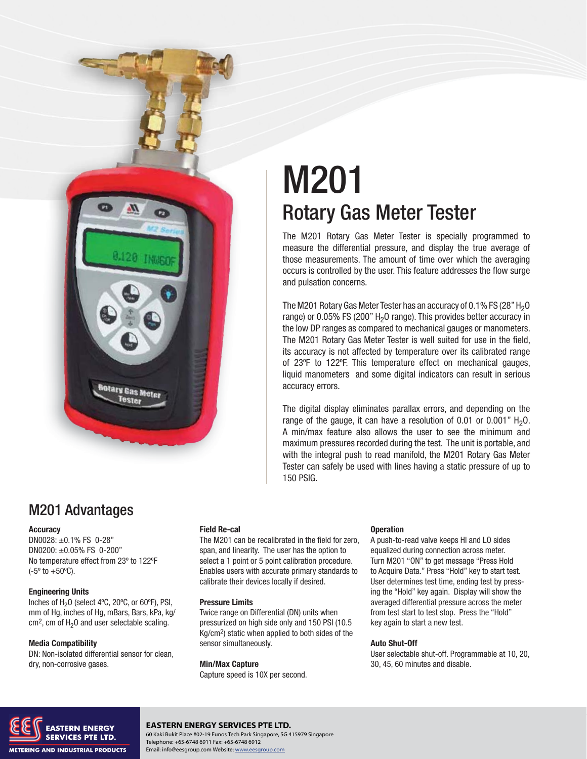**Rotary Gas Meter Tester** 

# M201 Rotary Gas Meter Tester

The M201 Rotary Gas Meter Tester is specially programmed to measure the differential pressure, and display the true average of those measurements. The amount of time over which the averaging occurs is controlled by the user. This feature addresses the flow surge and pulsation concerns.

The M201 Rotary Gas Meter Tester has an accuracy of 0.1% FS (28"  $H<sub>2</sub>O$ range) or 0.05% FS (200"  $H_2O$  range). This provides better accuracy in the low DP ranges as compared to mechanical gauges or manometers. The M201 Rotary Gas Meter Tester is well suited for use in the field, its accuracy is not affected by temperature over its calibrated range of 23ºF to 122ºF. This temperature effect on mechanical gauges, liquid manometers and some digital indicators can result in serious accuracy errors.

The digital display eliminates parallax errors, and depending on the range of the gauge, it can have a resolution of 0.01 or 0.001"  $H_2O$ . A min/max feature also allows the user to see the minimum and maximum pressures recorded during the test. The unit is portable, and with the integral push to read manifold, the M201 Rotary Gas Meter Tester can safely be used with lines having a static pressure of up to 150 PSIG.

### M201 Advantages

#### **Accuracy**

DN0028: ±0.1% FS 0-28" DN0200: ±0.05% FS 0-200" No temperature effect from 23º to 122ºF (-5º to +50ºC).

#### **Engineering Units**

Inches of H<sub>2</sub>O (select 4°C, 20°C, or 60°F), PSI, mm of Hg, inches of Hg, mBars, Bars, kPa, kg/  $cm<sup>2</sup>$ , cm of H<sub>2</sub>O and user selectable scaling.

#### **Media Compatibility**

DN: Non-isolated differential sensor for clean, dry, non-corrosive gases.

#### **Field Re-cal**

The M201 can be recalibrated in the field for zero, span, and linearity. The user has the option to select a 1 point or 5 point calibration procedure. Enables users with accurate primary standards to calibrate their devices locally if desired.

#### **Pressure Limits**

Twice range on Differential (DN) units when pressurized on high side only and 150 PSI (10.5 Kg/cm2) static when applied to both sides of the sensor simultaneously.

#### **Min/Max Capture**

Capture speed is 10X per second.

#### **Operation**

A push-to-read valve keeps HI and LO sides equalized during connection across meter. Turn M201 "ON" to get message "Press Hold to Acquire Data." Press "Hold" key to start test. User determines test time, ending test by pressing the "Hold" key again. Display will show the averaged differential pressure across the meter from test start to test stop. Press the "Hold" key again to start a new test.

#### **Auto Shut-Off**

User selectable shut-off. Programmable at 10, 20, 30, 45, 60 minutes and disable.



#### **EASTERN ENERGY SERVICES PTE LTD.**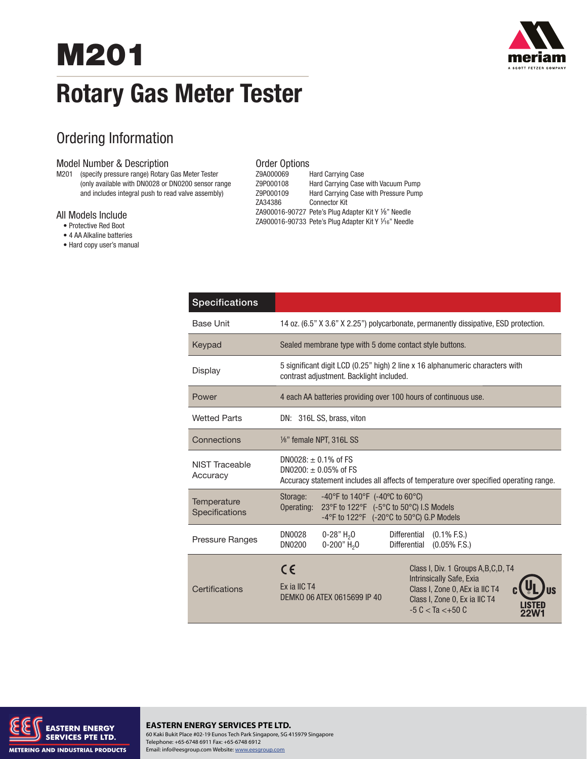# **M201 Rotary Gas Meter Tester**



## Ordering Information

#### Model Number & Description

M201 (specify pressure range) Rotary Gas Meter Tester (only available with DN0028 or DN0200 sensor range and includes integral push to read valve assembly)

#### All Models Include

- Protective Red Boot
- 4 AA Alkaline batteries
- Hard copy user's manual

#### Order Options

| Z9A000069 | <b>Hard Carrying Case</b>                             |
|-----------|-------------------------------------------------------|
| Z9P000108 | Hard Carrying Case with Vacuum Pump                   |
| Z9P000109 | Hard Carrying Case with Pressure Pump                 |
| ZA34386   | <b>Connector Kit</b>                                  |
|           | ZA900016-90727 Pete's Plug Adapter Kit Y 1/8" Needle  |
|           | ZA900016-90733 Pete's Plug Adapter Kit Y 1/16" Needle |
|           |                                                       |

| <b>Specifications</b>         |                                                                                                                                                                                                                                       |  |  |  |
|-------------------------------|---------------------------------------------------------------------------------------------------------------------------------------------------------------------------------------------------------------------------------------|--|--|--|
| <b>Base Unit</b>              | 14 oz. (6.5" X 3.6" X 2.25") polycarbonate, permanently dissipative, ESD protection.                                                                                                                                                  |  |  |  |
| Keypad                        | Sealed membrane type with 5 dome contact style buttons.                                                                                                                                                                               |  |  |  |
| Display                       | 5 significant digit LCD (0.25" high) 2 line x 16 alphanumeric characters with<br>contrast adjustment. Backlight included.                                                                                                             |  |  |  |
| Power                         | 4 each AA batteries providing over 100 hours of continuous use.                                                                                                                                                                       |  |  |  |
| <b>Wetted Parts</b>           | DN: 316L SS, brass, viton                                                                                                                                                                                                             |  |  |  |
| Connections                   | 1/8" female NPT, 316L SS                                                                                                                                                                                                              |  |  |  |
| NIST Traceable<br>Accuracy    | $DNO028: + 0.1\%$ of FS<br>DN0200: $\pm$ 0.05% of FS<br>Accuracy statement includes all affects of temperature over specified operating range.                                                                                        |  |  |  |
| Temperature<br>Specifications | Storage:<br>$-40^{\circ}$ F to 140 $^{\circ}$ F (-40 $^{\circ}$ C to 60 $^{\circ}$ C)<br>23°F to 122°F (-5°C to 50°C) I.S Models<br>Operating:<br>$-4^{\circ}$ F to 122 $^{\circ}$ F (-20 $^{\circ}$ C to 50 $^{\circ}$ C) G.P Models |  |  |  |
| Pressure Ranges               | $0-28"$ H <sub>2</sub> O<br>DN0028<br><b>Differential</b><br>$(0.1\%$ F.S.)<br>$0-200"$ H <sub>2</sub> O<br>DN0200<br><b>Differential</b><br>$(0.05\%$ F.S.)                                                                          |  |  |  |
| Certifications                | $\epsilon$<br>Class I, Div. 1 Groups A, B, C, D, T4<br>Intrinsically Safe, Exia<br>Fx ia IIC T4<br>Class I, Zone 0, AEx ia IIC T4<br>DEMKO 06 ATEX 0615699 IP 40<br>Class I, Zone 0, Ex ia IIC T4<br>$-5 C < Ta < +50 C$              |  |  |  |



#### **EASTERN ENERGY SERVICES PTE LTD.** 60 Kaki Bukit Place #02-19 Eunos Tech Park Singapore, SG 415979 Singapore Telephone: +65-6748 6911 Fax: +65-6748 6912 Email: info@eesgroup.com Website: www.eesgroup.com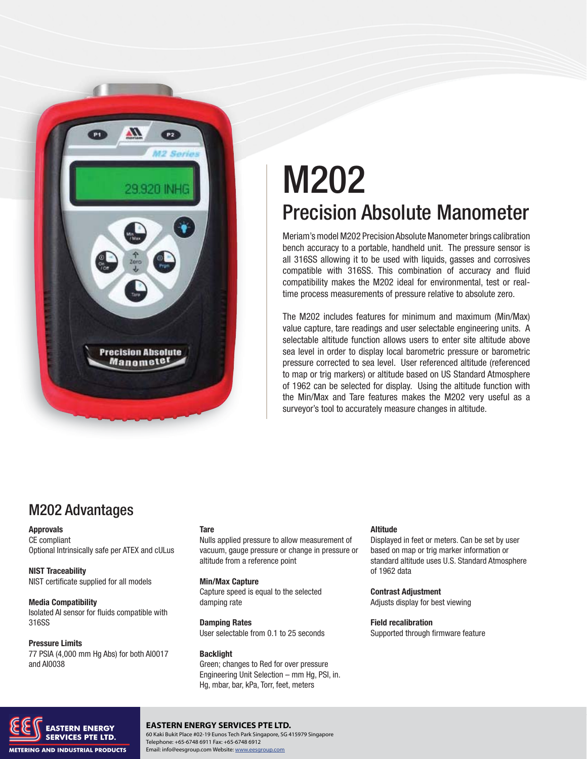

# M202 Precision Absolute Manometer

Meriam's model M202 Precision Absolute Manometer brings calibration bench accuracy to a portable, handheld unit. The pressure sensor is all 316SS allowing it to be used with liquids, gasses and corrosives compatible with 316SS. This combination of accuracy and fluid compatibility makes the M202 ideal for environmental, test or realtime process measurements of pressure relative to absolute zero.

The M202 includes features for minimum and maximum (Min/Max) value capture, tare readings and user selectable engineering units. A selectable altitude function allows users to enter site altitude above sea level in order to display local barometric pressure or barometric pressure corrected to sea level. User referenced altitude (referenced to map or trig markers) or altitude based on US Standard Atmosphere of 1962 can be selected for display. Using the altitude function with the Min/Max and Tare features makes the M202 very useful as a surveyor's tool to accurately measure changes in altitude.

### M202 Advantages

#### **Approvals**

CE compliant Optional Intrinsically safe per ATEX and cULus

#### **NIST Traceability** NIST certificate supplied for all models

**Media Compatibility** Isolated AI sensor for fluids compatible with 316SS

**Pressure Limits** 77 PSIA (4,000 mm Hg Abs) for both AI0017 and AI0038

#### **Tare**

Nulls applied pressure to allow measurement of vacuum, gauge pressure or change in pressure or altitude from a reference point

#### **Min/Max Capture**

Capture speed is equal to the selected damping rate

**Damping Rates** User selectable from 0.1 to 25 seconds

**Backlight** Green; changes to Red for over pressure Engineering Unit Selection – mm Hg, PSI, in. Hg, mbar, bar, kPa, Torr, feet, meters

#### **Altitude**

Displayed in feet or meters. Can be set by user based on map or trig marker information or standard altitude uses U.S. Standard Atmosphere of 1962 data

**Contrast Adjustment** Adjusts display for best viewing

**Field recalibration** Supported through firmware feature



#### **EASTERN ENERGY SERVICES PTE LTD.**